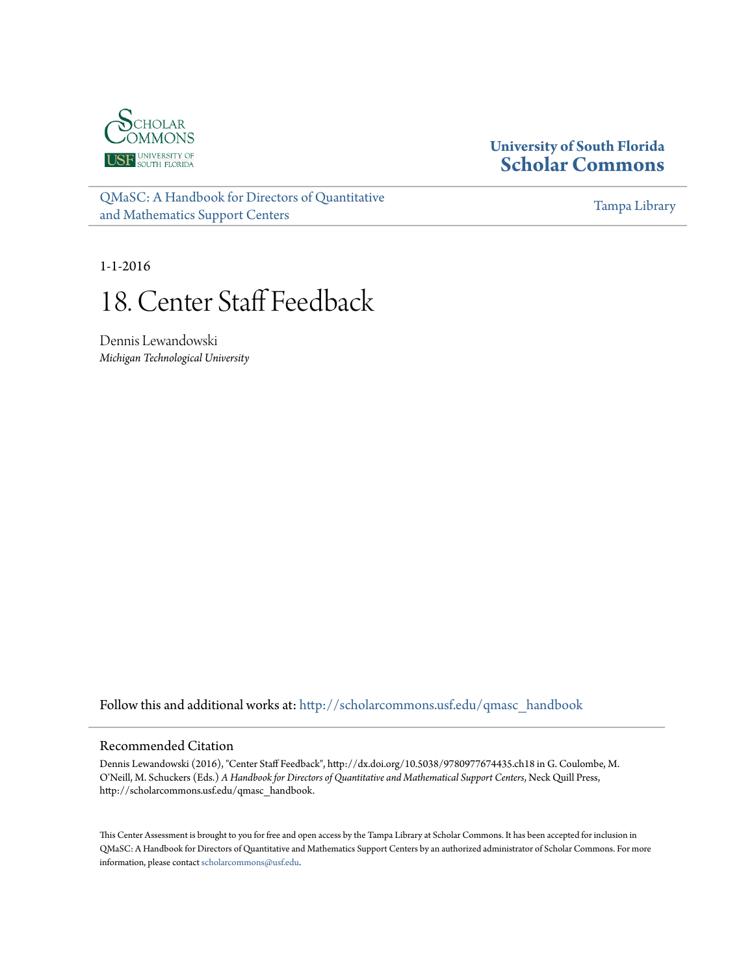

## **University of South Florida [Scholar Commons](http://scholarcommons.usf.edu?utm_source=scholarcommons.usf.edu%2Fqmasc_handbook%2F18&utm_medium=PDF&utm_campaign=PDFCoverPages)**

[QMaSC: A Handbook for Directors of Quantitative](http://scholarcommons.usf.edu/qmasc_handbook?utm_source=scholarcommons.usf.edu%2Fqmasc_handbook%2F18&utm_medium=PDF&utm_campaign=PDFCoverPages) [and Mathematics Support Centers](http://scholarcommons.usf.edu/qmasc_handbook?utm_source=scholarcommons.usf.edu%2Fqmasc_handbook%2F18&utm_medium=PDF&utm_campaign=PDFCoverPages)

[Tampa Library](http://scholarcommons.usf.edu/tlib?utm_source=scholarcommons.usf.edu%2Fqmasc_handbook%2F18&utm_medium=PDF&utm_campaign=PDFCoverPages)

1-1-2016

# 18. Center Staff Feedback

Dennis Lewandowski *Michigan Technological University*

Follow this and additional works at: [http://scholarcommons.usf.edu/qmasc\\_handbook](http://scholarcommons.usf.edu/qmasc_handbook?utm_source=scholarcommons.usf.edu%2Fqmasc_handbook%2F18&utm_medium=PDF&utm_campaign=PDFCoverPages)

#### Recommended Citation

Dennis Lewandowski (2016), "Center Staff Feedback", http://dx.doi.org/10.5038/9780977674435.ch18 in G. Coulombe, M. O'Neill, M. Schuckers (Eds.) *A Handbook for Directors of Quantitative and Mathematical Support Centers*, Neck Quill Press, http://scholarcommons.usf.edu/qmasc\_handbook.

This Center Assessment is brought to you for free and open access by the Tampa Library at Scholar Commons. It has been accepted for inclusion in QMaSC: A Handbook for Directors of Quantitative and Mathematics Support Centers by an authorized administrator of Scholar Commons. For more information, please contact [scholarcommons@usf.edu.](mailto:scholarcommons@usf.edu)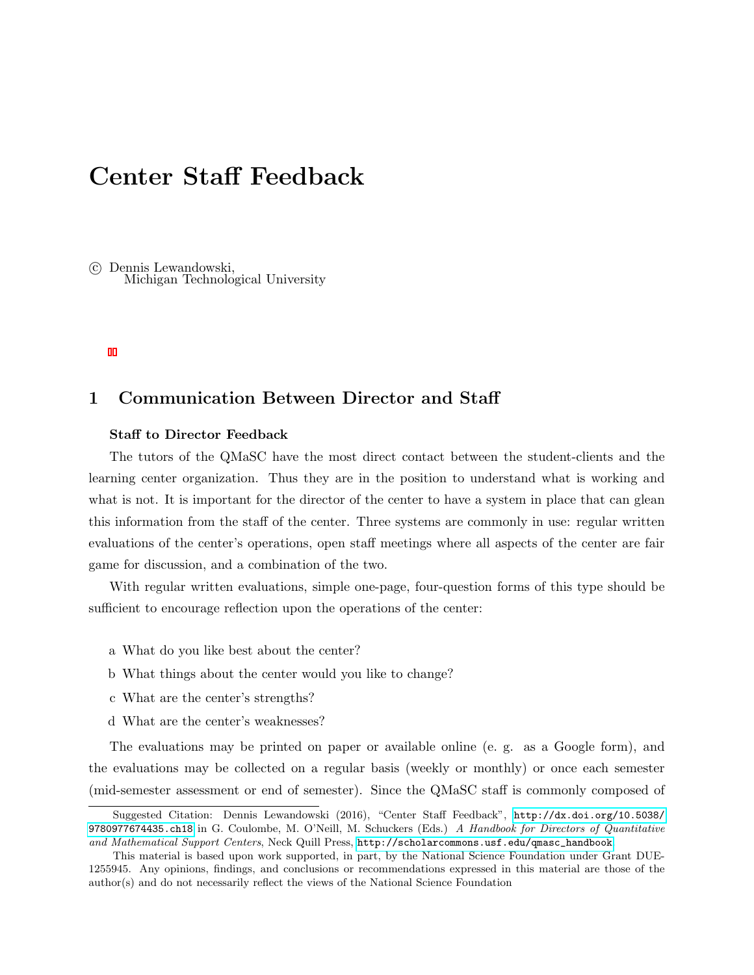# Center Staff Feedback

 c Dennis Lewandowski, Michigan Technological University

#### 1 Communication Between Director and Staff

#### Staff to Director Feedback

The tutors of the QMaSC have the most direct contact between the student-clients and the learning center organization. Thus they are in the position to understand what is working and what is not. It is important for the director of the center to have a system in place that can glean this information from the staff of the center. Three systems are commonly in use: regular written evaluations of the center's operations, open staff meetings where all aspects of the center are fair game for discussion, and a combination of the two.

With regular written evaluations, simple one-page, four-question forms of this type should be sufficient to encourage reflection upon the operations of the center:

- a What do you like best about the center?
- b What things about the center would you like to change?
- c What are the center's strengths?
- d What are the center's weaknesses?

The evaluations may be printed on paper or available online (e. g. as a Google form), and the evaluations may be collected on a regular basis (weekly or monthly) or once each semester (mid-semester assessment or end of semester). Since the QMaSC staff is commonly composed of

Suggested Citation: Dennis Lewandowski (2016), "Center Staff Feedback", [http://dx.doi.org/10.5038/](http://dx.doi.org/10.5038/9780977674435.ch18) [9780977674435.ch18](http://dx.doi.org/10.5038/9780977674435.ch18) in G. Coulombe, M. O'Neill, M. Schuckers (Eds.) A Handbook for Directors of Quantitative and Mathematical Support Centers, Neck Quill Press, [http://scholarcommons.usf.edu/qmasc\\_handbook](http://scholarcommons.usf.edu/qmasc_handbook).

This material is based upon work supported, in part, by the National Science Foundation under Grant DUE-1255945. Any opinions, findings, and conclusions or recommendations expressed in this material are those of the author(s) and do not necessarily reflect the views of the National Science Foundation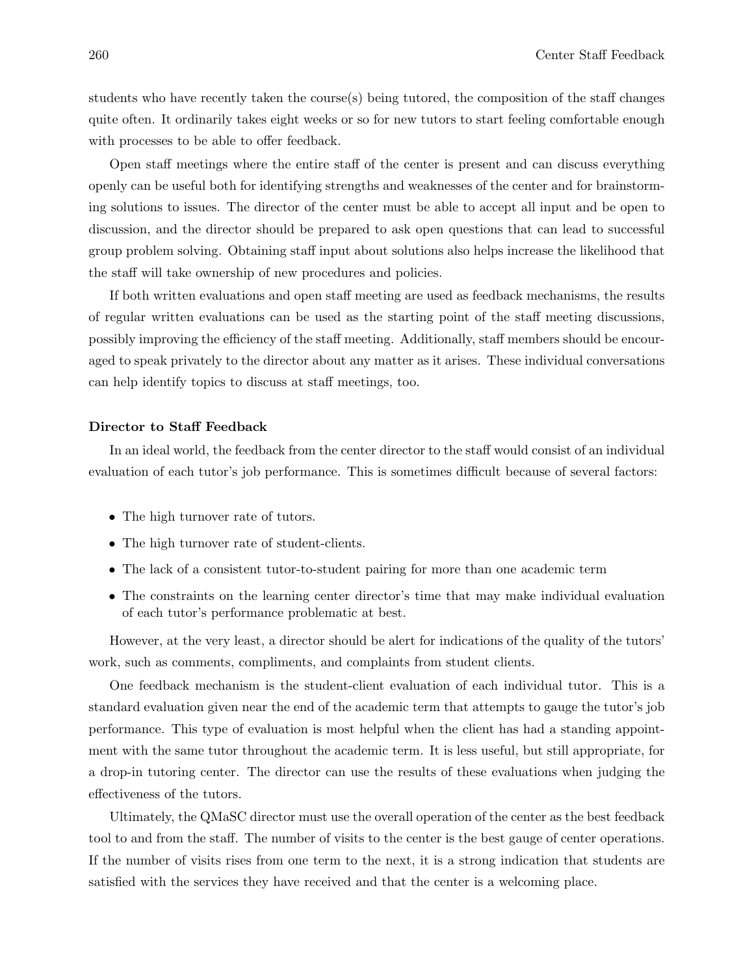students who have recently taken the course(s) being tutored, the composition of the staff changes quite often. It ordinarily takes eight weeks or so for new tutors to start feeling comfortable enough with processes to be able to offer feedback.

Open staff meetings where the entire staff of the center is present and can discuss everything openly can be useful both for identifying strengths and weaknesses of the center and for brainstorming solutions to issues. The director of the center must be able to accept all input and be open to discussion, and the director should be prepared to ask open questions that can lead to successful group problem solving. Obtaining staff input about solutions also helps increase the likelihood that the staff will take ownership of new procedures and policies.

If both written evaluations and open staff meeting are used as feedback mechanisms, the results of regular written evaluations can be used as the starting point of the staff meeting discussions, possibly improving the efficiency of the staff meeting. Additionally, staff members should be encouraged to speak privately to the director about any matter as it arises. These individual conversations can help identify topics to discuss at staff meetings, too.

#### Director to Staff Feedback

In an ideal world, the feedback from the center director to the staff would consist of an individual evaluation of each tutor's job performance. This is sometimes difficult because of several factors:

- The high turnover rate of tutors.
- The high turnover rate of student-clients.
- The lack of a consistent tutor-to-student pairing for more than one academic term
- The constraints on the learning center director's time that may make individual evaluation of each tutor's performance problematic at best.

However, at the very least, a director should be alert for indications of the quality of the tutors' work, such as comments, compliments, and complaints from student clients.

One feedback mechanism is the student-client evaluation of each individual tutor. This is a standard evaluation given near the end of the academic term that attempts to gauge the tutor's job performance. This type of evaluation is most helpful when the client has had a standing appointment with the same tutor throughout the academic term. It is less useful, but still appropriate, for a drop-in tutoring center. The director can use the results of these evaluations when judging the effectiveness of the tutors.

Ultimately, the QMaSC director must use the overall operation of the center as the best feedback tool to and from the staff. The number of visits to the center is the best gauge of center operations. If the number of visits rises from one term to the next, it is a strong indication that students are satisfied with the services they have received and that the center is a welcoming place.